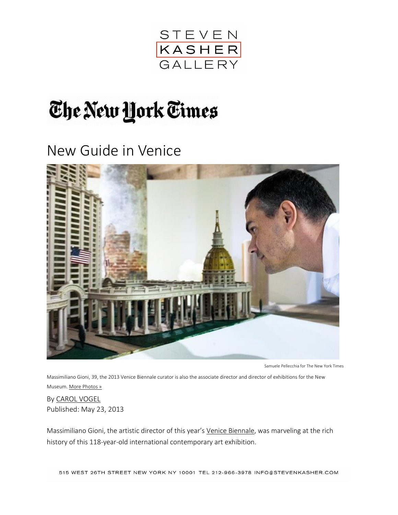

## The New York Times

New Guide in Venice



Samuele Pellecchia for The New York Times

Massimiliano Gioni, 39, the 2013 Venice Biennale curator is also the associate director and director of exhibitions for the New Museum. [More Photos »](http://www.nytimes.com/slideshow/2013/05/26/arts/design/20130526-GIONI.html)

By [CAROL VOGEL](http://topics.nytimes.com/top/reference/timestopics/people/v/carol_vogel/index.html) Published: May 23, 2013

Massimiliano Gioni, the artistic director of this year's [Venice Biennale,](http://universes-in-universe.org/eng/bien/venice_biennale/2013) was marveling at the rich history of this 118-year-old international contemporary art exhibition.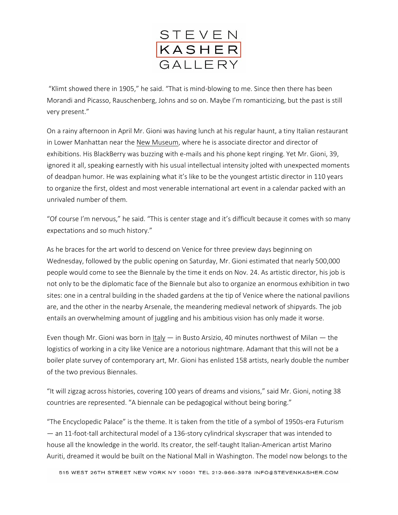

"Klimt showed there in 1905," he said. "That is mind-blowing to me. Since then there has been Morandi and Picasso, Rauschenberg, Johns and so on. Maybe I'm romanticizing, but the past is still very present."

On a rainy afternoon in April Mr. Gioni was having lunch at his regular haunt, a tiny Italian restaurant in Lower Manhattan near the [New Museum,](http://www.newmuseum.org/) where he is associate director and director of exhibitions. His BlackBerry was buzzing with e-mails and his phone kept ringing. Yet Mr. Gioni, 39, ignored it all, speaking earnestly with his usual intellectual intensity jolted with unexpected moments of deadpan humor. He was explaining what it's like to be the youngest artistic director in 110 years to organize the first, oldest and most venerable international art event in a calendar packed with an unrivaled number of them.

"Of course I'm nervous," he said. "This is center stage and it's difficult because it comes with so many expectations and so much history."

As he braces for the art world to descend on Venice for three preview days beginning on Wednesday, followed by the public opening on Saturday, Mr. Gioni estimated that nearly 500,000 people would come to see the Biennale by the time it ends on Nov. 24. As artistic director, his job is not only to be the diplomatic face of the Biennale but also to organize an enormous exhibition in two sites: one in a central building in the shaded gardens at the tip of Venice where the national pavilions are, and the other in the nearby Arsenale, the meandering medieval network of shipyards. The job entails an overwhelming amount of juggling and his ambitious vision has only made it worse.

Even though Mr. Gioni was born in [Italy](http://topics.nytimes.com/top/news/international/countriesandterritories/italy/index.html?inline=nyt-geo) — in Busto Arsizio, 40 minutes northwest of Milan — the logistics of working in a city like Venice are a notorious nightmare. Adamant that this will not be a boiler plate survey of contemporary art, Mr. Gioni has enlisted 158 artists, nearly double the number of the two previous Biennales.

"It will zigzag across histories, covering 100 years of dreams and visions," said Mr. Gioni, noting 38 countries are represented. "A biennale can be pedagogical without being boring."

"The Encyclopedic Palace" is the theme. It is taken from the title of a symbol of 1950s-era Futurism — an 11-foot-tall architectural model of a 136-story cylindrical skyscraper that was intended to house all the knowledge in the world. Its creator, the self-taught Italian-American artist Marino Auriti, dreamed it would be built on the National Mall in Washington. The model now belongs to the

515 WEST 26TH STREET NEW YORK NY 10001 TEL 212-966-3978 INFO@STEVENKASHER.COM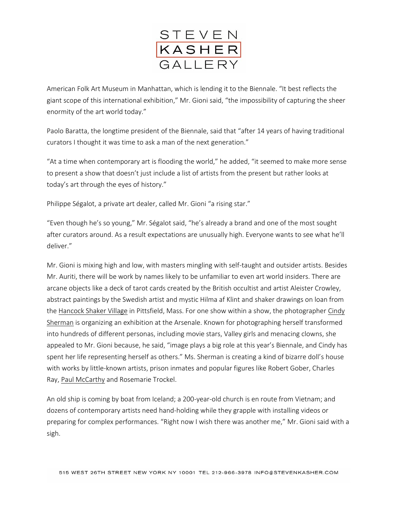

American Folk Art Museum in Manhattan, which is lending it to the Biennale. "It best reflects the giant scope of this international exhibition," Mr. Gioni said, "the impossibility of capturing the sheer enormity of the art world today."

Paolo Baratta, the longtime president of the Biennale, said that "after 14 years of having traditional curators I thought it was time to ask a man of the next generation."

"At a time when contemporary art is flooding the world," he added, "it seemed to make more sense to present a show that doesn't just include a list of artists from the present but rather looks at today's art through the eyes of history."

Philippe Ségalot, a private art dealer, called Mr. Gioni "a rising star."

"Even though he's so young," Mr. Ségalot said, "he's already a brand and one of the most sought after curators around. As a result expectations are unusually high. Everyone wants to see what he'll deliver."

Mr. Gioni is mixing high and low, with masters mingling with self-taught and outsider artists. Besides Mr. Auriti, there will be work by names likely to be unfamiliar to even art world insiders. There are arcane objects like a deck of tarot cards created by the British occultist and artist Aleister Crowley, abstract paintings by the Swedish artist and mystic Hilma af Klint and shaker drawings on loan from the [Hancock Shaker Village](http://hancockshakervillage.org/) in Pittsfield, Mass. For one show within a show, the photographer Cindy [Sherman](http://www.nytimes.com/2012/02/19/arts/design/moma-to-showcase-cindy-shermans-new-and-old-characters.html?pagewanted=all&_r=0) is organizing an exhibition at the Arsenale. Known for photographing herself transformed into hundreds of different personas, including movie stars, Valley girls and menacing clowns, she appealed to Mr. Gioni because, he said, "image plays a big role at this year's Biennale, and Cindy has spent her life representing herself as others." Ms. Sherman is creating a kind of bizarre doll's house with works by little-known artists, prison inmates and popular figures like Robert Gober, Charles Ray, [Paul McCarthy](http://www.nytimes.com/2013/05/12/magazine/paul-mccarthy-the-demented-imagineer.html?pagewanted=all) and Rosemarie Trockel.

An old ship is coming by boat from Iceland; a 200-year-old church is en route from Vietnam; and dozens of contemporary artists need hand-holding while they grapple with installing videos or preparing for complex performances. "Right now I wish there was another me," Mr. Gioni said with a sigh.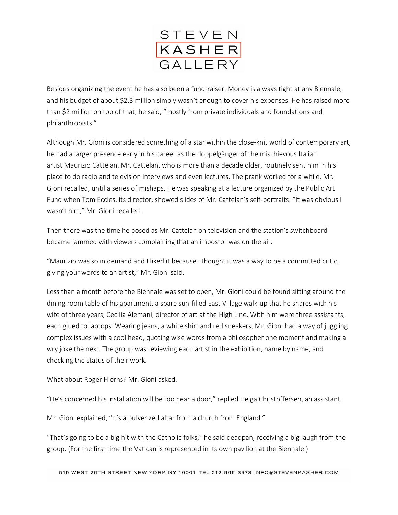

Besides organizing the event he has also been a fund-raiser. Money is always tight at any Biennale, and his budget of about \$2.3 million simply wasn't enough to cover his expenses. He has raised more than \$2 million on top of that, he said, "mostly from private individuals and foundations and philanthropists."

Although Mr. Gioni is considered something of a star within the close-knit world of contemporary art, he had a larger presence early in his career as the doppelgänger of the mischievous Italian artist [Maurizio Cattelan.](http://www.nytimes.com/2011/10/02/arts/design/maurizio-cattelan-retrospective-at-guggenheim.html?pagewanted=all) Mr. Cattelan, who is more than a decade older, routinely sent him in his place to do radio and television interviews and even lectures. The prank worked for a while, Mr. Gioni recalled, until a series of mishaps. He was speaking at a lecture organized by the Public Art Fund when Tom Eccles, its director, showed slides of Mr. Cattelan's self-portraits. "It was obvious I wasn't him," Mr. Gioni recalled.

Then there was the time he posed as Mr. Cattelan on television and the station's switchboard became jammed with viewers complaining that an impostor was on the air.

"Maurizio was so in demand and I liked it because I thought it was a way to be a committed critic, giving your words to an artist," Mr. Gioni said.

Less than a month before the Biennale was set to open, Mr. Gioni could be found sitting around the dining room table of his apartment, a spare sun-filled East Village walk-up that he shares with his wife of three years, Cecilia Alemani, director of art at the [High Line.](http://topics.nytimes.com/top/reference/timestopics/subjects/h/high_line_nyc/index.html?inline=nyt-classifier) With him were three assistants, each glued to laptops. Wearing jeans, a white shirt and red sneakers, Mr. Gioni had a way of juggling complex issues with a cool head, quoting wise words from a philosopher one moment and making a wry joke the next. The group was reviewing each artist in the exhibition, name by name, and checking the status of their work.

What about Roger Hiorns? Mr. Gioni asked.

"He's concerned his installation will be too near a door," replied Helga Christoffersen, an assistant.

Mr. Gioni explained, "It's a pulverized altar from a church from England."

"That's going to be a big hit with the Catholic folks," he said deadpan, receiving a big laugh from the group. (For the first time the Vatican is represented in its own pavilion at the Biennale.)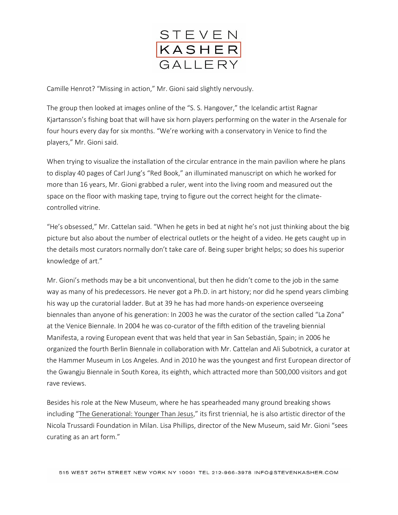

Camille Henrot? "Missing in action," Mr. Gioni said slightly nervously.

The group then looked at images online of the "S. S. Hangover," the Icelandic artist Ragnar Kjartansson's fishing boat that will have six horn players performing on the water in the Arsenale for four hours every day for six months. "We're working with a conservatory in Venice to find the players," Mr. Gioni said.

When trying to visualize the installation of the circular entrance in the main pavilion where he plans to display 40 pages of Carl Jung's "Red Book," an illuminated manuscript on which he worked for more than 16 years, Mr. Gioni grabbed a ruler, went into the living room and measured out the space on the floor with masking tape, trying to figure out the correct height for the climatecontrolled vitrine.

"He's obsessed," Mr. Cattelan said. "When he gets in bed at night he's not just thinking about the big picture but also about the number of electrical outlets or the height of a video. He gets caught up in the details most curators normally don't take care of. Being super bright helps; so does his superior knowledge of art."

Mr. Gioni's methods may be a bit unconventional, but then he didn't come to the job in the same way as many of his predecessors. He never got a Ph.D. in art history; nor did he spend years climbing his way up the curatorial ladder. But at 39 he has had more hands-on experience overseeing biennales than anyone of his generation: In 2003 he was the curator of the section called "La Zona" at the Venice Biennale. In 2004 he was co-curator of the fifth edition of the traveling biennial Manifesta, a roving European event that was held that year in San Sebastián, Spain; in 2006 he organized the fourth Berlin Biennale in collaboration with Mr. Cattelan and Ali Subotnick, a curator at the Hammer Museum in Los Angeles. And in 2010 he was the youngest and first European director of the Gwangju Biennale in South Korea, its eighth, which attracted more than 500,000 visitors and got rave reviews.

Besides his role at the New Museum, where he has spearheaded many ground breaking shows including "[The Generational: Younger Than Jesus](http://www.nytimes.com/2009/04/10/arts/design/10trie.html?pagewanted=all)," its first triennial, he is also artistic director of the Nicola Trussardi Foundation in Milan. Lisa Phillips, director of the New Museum, said Mr. Gioni "sees curating as an art form."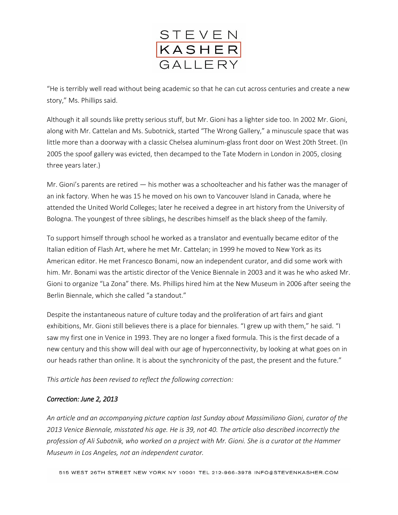

"He is terribly well read without being academic so that he can cut across centuries and create a new story," Ms. Phillips said.

Although it all sounds like pretty serious stuff, but Mr. Gioni has a lighter side too. In 2002 Mr. Gioni, along with Mr. Cattelan and Ms. Subotnick, started "The Wrong Gallery," a minuscule space that was little more than a doorway with a classic Chelsea aluminum-glass front door on West 20th Street. (In 2005 the spoof gallery was evicted, then decamped to the Tate Modern in London in 2005, closing three years later.)

Mr. Gioni's parents are retired — his mother was a schoolteacher and his father was the manager of an ink factory. When he was 15 he moved on his own to Vancouver Island in Canada, where he attended the United World Colleges; later he received a degree in art history from the University of Bologna. The youngest of three siblings, he describes himself as the black sheep of the family.

To support himself through school he worked as a translator and eventually became editor of the Italian edition of Flash Art, where he met Mr. Cattelan; in 1999 he moved to New York as its American editor. He met Francesco Bonami, now an independent curator, and did some work with him. Mr. Bonami was the artistic director of the Venice Biennale in 2003 and it was he who asked Mr. Gioni to organize "La Zona" there. Ms. Phillips hired him at the New Museum in 2006 after seeing the Berlin Biennale, which she called "a standout."

Despite the instantaneous nature of culture today and the proliferation of art fairs and giant exhibitions, Mr. Gioni still believes there is a place for biennales. "I grew up with them," he said. "I saw my first one in Venice in 1993. They are no longer a fixed formula. This is the first decade of a new century and this show will deal with our age of hyperconnectivity, by looking at what goes on in our heads rather than online. It is about the synchronicity of the past, the present and the future."

*This article has been revised to reflect the following correction:*

## *Correction: June 2, 2013*

*An article and an accompanying picture caption last Sunday about Massimiliano Gioni, curator of the 2013 Venice Biennale, misstated his age. He is 39, not 40. The article also described incorrectly the profession of Ali Subotnik, who worked on a project with Mr. Gioni. She is a curator at the Hammer Museum in Los Angeles, not an independent curator.*

515 WEST 26TH STREET NEW YORK NY 10001 TEL 212-966-3978 INFO@STEVENKASHER.COM